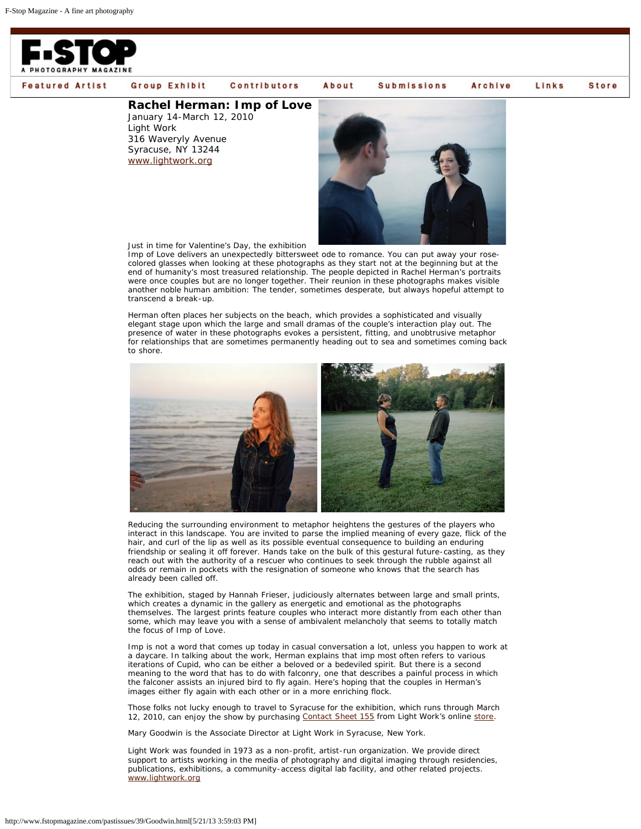

**Featured Artist** 

## Group Exhibit **Contributors**

## **[Rachel Herman: Imp of](http://www.fstopmagazine.com/pastissues/39/groupexhibit.html) [Love](http://www.fstopmagazine.com/pastissues/39/contributors.html)**

January 14-March 12, 2010 Light Work 316 Waveryly Avenue Syracuse, NY 13244 [www.lightwork.org](http://www.lightwork.org/)



**Submissions** 

Archive

Links

**Store** 

Just in time for Valentine's Day, the exhibition

*Imp of Love* delivers an unexpectedly bittersweet ode to romance. You can put away your rosecolored glasses when looking at these photographs as they start not at the beginning but at the end of humanity's most treasured relationship. The people depicted in Rachel Herman's portraits were once couples but are no longer together. Their reunion in these photographs makes visible another noble human ambition: The tender, sometimes desperate, but always hopeful attempt to transcend a break-up.

About

Herman often places her subjects on the beach, which provides a sophisticated and visually elegant stage upon which the large and small dramas of the couple's interaction play out. The presence of water in these photographs evokes a persistent, fitting, and unobtrusive metaphor for relationships that are sometimes permanently heading out to sea and sometimes coming back to shore.



Reducing the surrounding environment to metaphor heightens the gestures of the players who interact in this landscape. You are invited to parse the implied meaning of every gaze, flick of the hair, and curl of the lip as well as its possible eventual consequence to building an enduring friendship or sealing it off forever. Hands take on the bulk of this gestural future-casting, as they reach out with the authority of a rescuer who continues to seek through the rubble against all odds or remain in pockets with the resignation of someone who knows that the search has already been called off.

The exhibition, staged by Hannah Frieser, judiciously alternates between large and small prints, which creates a dynamic in the gallery as energetic and emotional as the photographs themselves. The largest prints feature couples who interact more distantly from each other than some, which may leave you with a sense of ambivalent melancholy that seems to totally match the focus of *Imp of Love*.

*Imp* is not a word that comes up today in casual conversation a lot, unless you happen to work at a daycare. In talking about the work, Herman explains that *imp* most often refers to various iterations of Cupid, who can be either a beloved or a bedeviled spirit. But there is a second meaning to the word that has to do with falconry, one that describes a painful process in which the falconer assists an injured bird to fly again. Here's hoping that the couples in Herman's images either fly again with each other or in a more enriching flock.

Those folks not lucky enough to travel to Syracuse for the exhibition, which runs through March 12, 2010, can enjoy the show by purchasing [Contact Sheet 155](http://lightwork.org/store/cs155.html) from Light Work's online [store.](http://lightwork.org/store/index.html)

Mary Goodwin is the Associate Director at Light Work in Syracuse, New York.

Light Work was founded in 1973 as a non-profit, artist-run organization. We provide direct support to artists working in the media of photography and digital imaging through residencies, publications, exhibitions, a community-access digital lab facility, and other related projects. [www.lightwork.org](http://www.lightwork.org/)